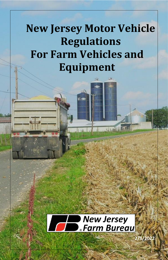# **New Jersey Motor Vehicle Regulations For Farm Vehicles and Equipment**

**THATH ME** 



**2/3/2022**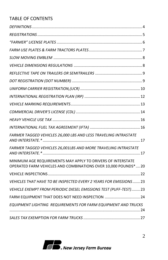# TABLE OF CONTENTS

| FARMER TAGGED VEHICLES 26,000 LBS AND LESS TRAVELING INTRASTATE                                                               |  |
|-------------------------------------------------------------------------------------------------------------------------------|--|
| FARMER TAGGED VEHICLES 26,001LBS AND MORE TRAVELING INTRASTATE                                                                |  |
| MINIMUM AGE REQUIREMENTS MAY APPLY TO DRIVERS OF INTERSTATE<br>OPERATED FARM VEHICLES AND COMBINATIONS OVER 10,000 POUNDS* 20 |  |
|                                                                                                                               |  |
| VEHICLES THAT HAVE TO BE INSPECTED EVERY 2 YEARS FOR EMISSIONS  23                                                            |  |
| VEHICLE EXEMPT FROM PERIODIC DIESEL EMISSIONS TEST (PUFF-TEST) 23                                                             |  |
| FARM EQUIPMENT THAT DOES NOT NEED INSPECTION  24                                                                              |  |
| EQUIPMENT LIGHTING REQUIREMENTS FOR FARM EQUIPMENT AND TRUCKS                                                                 |  |
|                                                                                                                               |  |

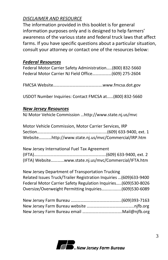# *DISCLAIMER AND RESOURCE*

The information provided in this booklet is for general information purposes only and is designed to help farmers' awareness of the various state and federal truck laws that affect farms. If you have specific questions about a particular situation, consult your attorney or contact one of the resources below:

#### *Federal Resources*

| Federal Motor Carrier Safety Administration(800) 832-5660<br>Federal Motor Carrier NJ Field Office (609) 275-2604                                                                                                                                   |
|-----------------------------------------------------------------------------------------------------------------------------------------------------------------------------------------------------------------------------------------------------|
|                                                                                                                                                                                                                                                     |
| USDOT Number Inquiries: Contact FMCSA at(800) 832-5660                                                                                                                                                                                              |
| <u>New Jersey Resources</u><br>NJ Motor Vehicle Commission http://www.state.nj.us/mvc                                                                                                                                                               |
| Motor Vehicle Commission, Motor Carrier Services, IRP<br>Websitehttp://www.state.nj.us/mvc/Commercial/IRP.htm                                                                                                                                       |
| New Jersey International Fuel Tax Agreement<br>(IFTA) Websitewww.state.nj.us/mvc/Commercial/IFTA.htm                                                                                                                                                |
| New Jersey Department of Transportation Trucking<br>Related Issues Truck/Trailer Registration Inquiries  (609) 633-9400<br>Federal Motor Carrier Safety Regulation Inquiries (609)530-8026<br>Oversize/Overweight Permitting Inquiries(609)530-6089 |

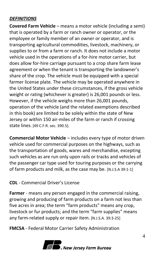# <span id="page-3-0"></span>*DEFINITIONS*

**Covered Farm Vehicle** – means a motor vehicle (including a semi) that is operated by a farm or ranch owner or operator, or the employee or family member of an owner or operator, and is transporting agricultural commodities, livestock, machinery, or supplies to or from a farm or ranch. It does not include a motor vehicle used in the operations of a for-hire motor carrier, but does allow for-hire carriage pursuant to a crop share farm lease agreement or when the tenant is transporting the landowner's share of the crop. The vehicle must be equipped with a special farmer license plate. The vehicle may be operated anywhere in the United States under these circumstances, if the gross vehicle weight or rating (whichever is greater) is 26,001 pounds or less. However, if the vehicle weighs more than 26,001 pounds, operation of the vehicle (and the related exemptions described in this book) are limited to be solely within the state of New Jersey or within 150 air-miles of the farm or ranch if crossing state lines. [49 C.F.R. sec. 390.5].

**Commercial Motor Vehicle** – includes every type of motor driven vehicle used for commercial purposes on the highways, such as the transportation of goods, wares and merchandise, excepting such vehicles as are run only upon rails or tracks and vehicles of the passenger car type used for touring purposes or the carrying of farm products and milk, as the case may be. [N.J.S.A 39:1-1]

## **CDL** - Commercial Driver's License

**Farmer** - means any person engaged in the commercial raising, growing and producing of farm products on a farm not less than five acres in area; the term "farm products" means any crop, livestock or fur products; and the term "farm supplies" means any farm-related supply or repair item. [N.J.S.A. 39:3-25]

**FMCSA** - Federal Motor Carrier Safety Administration

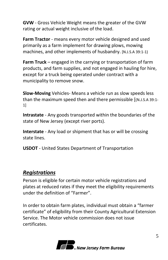**GVW** - Gross Vehicle Weight means the greater of the GVW rating or actual weight inclusive of the load.

**Farm Tractor** - means every motor vehicle designed and used primarily as a farm implement for drawing plows, mowing machines, and other implements of husbandry. [N.J.S.A 39:1-1)

**Farm Truck** – engaged in the carrying or transportation of farm products, and farm supplies, and not engaged in hauling for hire, except for a truck being operated under contract with a municipality to remove snow.

**Slow-Moving** Vehicles- Means a vehicle run as slow speeds less than the maximum speed then and there permissible [(N.J.S.A 39:1- 1]

**Intrastate** - Any goods transported within the boundaries of the state of New Jersey (except river ports).

**Interstate** - Any load or shipment that has or will be crossing state lines.

**USDOT** - United States Department of Transportation

# <span id="page-4-0"></span>*Registrations*

Person is eligible for certain motor vehicle registrations and plates at reduced rates if they meet the eligibility requirements under the definition of "Farmer".

In order to obtain farm plates, individual must obtain a "farmer certificate" of eligibility from their County Agricultural Extension Service. The Motor vehicle commission does not issue certificates.

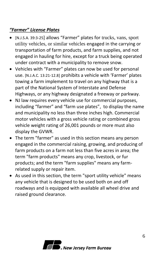### <span id="page-5-0"></span>*"Farmer" License Plates*

- [N.J.S.A. 39:3-25] allows "Farmer" plates for trucks, vans, sport utility vehicles, or similar vehicles engaged in the carrying or transportation of farm products, and farm supplies, and not engaged in hauling for hire, except for a truck being operated under contract with a municipality to remove snow.
- Vehicles with "Farmer" plates can now be used for personal use. [N.J.A.C. 13:21-12.8] prohibits a vehicle with 'Farmer' plates towing a farm implement to travel on any highway that is a part of the National System of Interstate and Defense Highways, or any highway designated a freeway or parkway.
- NJ law requires every vehicle use for commercial purposes, including "farmer" and "farm use plates", to display the name and municipality no less than three inches high. Commercial motor vehicles with a gross vehicle rating or combined gross vehicle weight rating of 26,001 pounds or more must also display the GVWR.
- The term "farmer" as used in this section means any person engaged in the commercial raising, growing, and producing of farm products on a farm not less than five acres in area; the term "farm products" means any crop, livestock, or fur products; and the term "farm supplies" means any farmrelated supply or repair item.
- As used in this section, the term "sport utility vehicle" means any vehicle that is designed to be used both on and off roadways and is equipped with available all wheel drive and raised ground clearance.

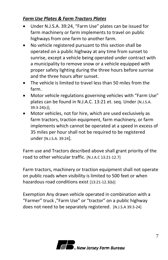# <span id="page-6-0"></span>*Farm Use Plates & Farm Tractors Plates*

- Under N.J.S.A. 39:24, "Farm Use" plates can be issued for farm machinery or farm implements to travel on public highways from one farm to another farm.
- No vehicle registered pursuant to this section shall be operated on a public highway at any time from sunset to sunrise, except a vehicle being operated under contract with a municipality to remove snow or a vehicle equipped with proper safety lighting during the three hours before sunrise and the three hours after sunset.
- The vehicle is limited to travel less than 50 miles from the farm.
- Motor vehicle regulations governing vehicles with "Farm Use" plates can be found in N.J.A.C. 13:21 et. seq. Under [N.J.S.A. 39:3-24(c)],
- Motor vehicles, not for hire, which are used exclusively as farm tractors, traction equipment, farm machinery, or farm implements which cannot be operated at a speed in excess of 35 miles per hour shall not be required to be registered under [N.J.S.A. 39:24].

Farm use and Tractors described above shall grant priority of the road to other vehicular traffic. [N.J.A.C 13:21-12.7]

Farm tractors, machinery or traction equipment shall not operate on public roads when visibility is limited to 500 feet or when hazardous road conditions exist [13:21-12.3(b)]

Exemption Any drawn vehicle operated in combination with a "Farmer" truck ,"Farm Use" or "tractor" on a public highway does not need to be separately registered. [N.J.S.A 39:3-24]

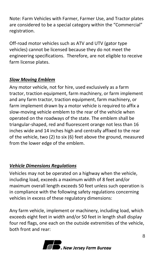Note: Farm Vehicles with Farmer, Farmer Use, and Tractor plates are considered to be a special category within the "Commercial" registration.

Off-road motor vehicles such as ATV and UTV (gator type vehicles) cannot be licensed because they do not meet the engineering specifications. Therefore, are not eligible to receive farm license plates.

# <span id="page-7-0"></span>*Slow Moving Emblem*

Any motor vehicle, not for hire, used exclusively as a farm tractor, traction equipment, farm machinery, or farm implement and any farm tractor, traction equipment, farm machinery, or farm implement drawn by a motor vehicle is required to affix a slow-moving vehicle emblem to the rear of the vehicle when operated on the roadways of the state. The emblem shall be triangular-shaped, red and fluorescent orange not less than 16 inches wide and 14 inches high and centrally affixed to the rear of the vehicle, two (2) to six (6) feet above the ground, measured from the lower edge of the emblem.

# <span id="page-7-1"></span>*Vehicle Dimensions Regulations*

Vehicles may not be operated on a highway when the vehicle, including load, exceeds a maximum width of 8 feet and/or maximum overall length exceeds 50 feet unless such operation is in compliance with the following safety regulations concerning vehicles in excess of these regulatory dimensions:

Any farm vehicle, implement or machinery, including load, which exceeds eight feet in width and/or 50 feet in length shall display four red flags, one each on the outside extremities of the vehicle, both front and rear:

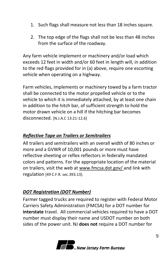- 1. Such flags shall measure not less than 18 inches square.
- 2. The top edge of the flags shall not be less than 48 inches from the surface of the roadway.

Any farm vehicle implement or machinery and/or load which exceeds 12 feet in width and/or 60 feet in length will, in addition to the red flags provided for in (a) above, require one escorting vehicle when operating on a highway.

Farm vehicles, implements or machinery towed by a farm tractor shall be connected to the motor propelled vehicle or to the vehicle to which it is immediately attached, by at least one chain in addition to the hitch bar, of sufficient strength to hold the motor drawn vehicle on a hill if the hitching bar becomes disconnected. [N.J.A.C 13:21-12.6]

# <span id="page-8-0"></span>*Reflective Tape on Trailers or Semitrailers*

All trailers and semitrailers with an overall width of 80 inches or more and a GVWR of 10,001 pounds or more must have reflective sheeting or reflex reflectors in federally mandated colors and patterns. For the appropriate location of the material on trailers, visit the web at www.fmcsa.dot.gov/ and link with regulation [49 C.F.R. sec.393.13].

# <span id="page-8-1"></span>*DOT Registration (DOT Number)*

Farmer tagged trucks are required to register with Federal Motor Carriers Safety Administration (FMCSA) for a DOT number for **interstate** travel. All commercial vehicles required to have a DOT number must display their name and USDOT number on both sides of the power unit. NJ **does not** require a DOT number for

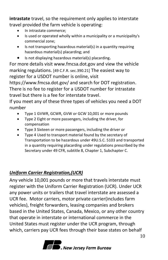**intrastate** travel, so the requirement only applies to interstate travel provided the farm vehicle is operating:

- In intrastate commerce;
- Is used or operated wholly within a municipality or a municipality's commercial zone;
- Is not transporting hazardous material(s) in a quantity requiring hazardous material(s) placarding; and
- Is not displaying hazardous material(s) placarding.

For more details visit www.fmcsa.dot.gov and view the vehicle marking regulations. [49 C.F.R. sec.390.21] The easiest way to register for a USDOT number is online, visit

https://www.fmcsa.dot.gov/ and search for DOT registration. There is no fee to register for a USDOT number for intrastate travel but there is a fee for interstate travel.

If you meet any of these three types of vehicles you need a DOT number

- Type 1 GVWR, GCWR, GVW or GCW 10,001 or more pounds
- Type 2 Eight or more passengers, including the driver, for compensation
- Type 3 Sixteen or more passengers, including the driver or
- Type 4 Used to transport material found by the secretary of Transportation to be hazardous under 49U.S.C. 5103 and transported in a quantity requiring placarding under regulations prescribed by the Secretary under 49 CFR, subtitle 8, Chapter 1, Subchapter C.

# <span id="page-9-0"></span>*Uniform Carrier Registration,(UCR)*

Any vehicle 10,001 pounds or more that travels interstate must register with the Uniform Carrier Registration (UCR). Under UCR any power units or trailers that travel interstate are assessed a UCR fee. Motor carriers, motor private carrier(includes farm vehicles), freight forwarders, leasing companies and brokers based in the United States, Canada, Mexico, or any other country that operate in interstate or international commerce in the United States must register under the UCR program, through which, carriers pay UCR fees through their base states on behalf

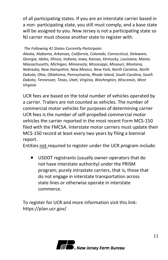of all participating states. If you are an interstate carrier based in a non- participating state, you still must comply, and a base state will be assigned to you. New Jersey is not a participating state so NJ carrier must choose another state to register with.

#### *The Following 41 States Currently Participate:*

*Alaska, Alabama, Arkansas, California, Colorado, Connecticut, Delaware, Georgia, Idaho, Illinois, Indiana, Iowa, Kansas, Kentucky, Louisiana, Maine, Massachusetts, Michigan, Minnesota, Mississippi, Missouri, Montana, Nebraska, New Hampshire, New Mexico, New York, North Carolina, North Dakota, Ohio, Oklahoma, Pennsylvania, Rhode Island, South Carolina, South Dakota, Tennessee, Texas, Utah, Virginia, Washington, Wisconsin, West Virginia*

UCR fees are based on the total number of vehicles operated by a carrier. Trailers are not counted as vehicles. The number of commercial motor vehicles for purposes of determining carrier UCR fees is the number of self-propelled commercial motor vehicles the carrier reported in the most recent Form MCS-150 filed with the FMCSA. Interstate motor carriers must update their MCS-150 record at least every two years by filing a biennial report.

Entities not required to register under the UCR program include:

• USDOT registrants (usually owner-operators that do not have interstate authority) under the PRISM program; purely intrastate carriers, that is, those that do not engage in interstate transportation across state lines or otherwise operate in interstate commerce.

To register for UCR and more information visit this link: https://plan.ucr.gov/

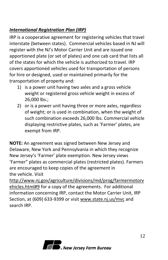# <span id="page-11-0"></span>*International Registration Plan (IRP)*

IRP is a cooperative agreement for registering vehicles that travel interstate (between states). Commercial vehicles based in NJ will register with the NJ's Motor Carrier Unit and are issued one apportioned plate (or set of plates) and one cab card that lists all of the states for which the vehicle is authorized to travel. IRP covers apportioned vehicles used for transportation of persons for hire or designed, used or maintained primarily for the transportation of property and:

- 1) is a power unit having two axles and a gross vehicle weight or registered gross vehicle weight in excess of 26,000 lbs.;
- 2) or is a power unit having three or more axles, regardless of weight; or is used in combination, when the weight of such combination exceeds 26,000 lbs. Commercial vehicle displaying restrictive plates, such as 'Farmer' plates, are exempt from IRP.

**NOTE:** An agreement was signed between New Jersey and Delaware, New York and Pennsylvania in which they recognize New Jersey's 'Farmer' plate exemption. New Jersey views 'Farmer" plates as commercial plates (restricted plates). Farmers are encouraged to keep copies of the agreement in the vehicle. Visit

http://www.nj.gov/agriculture/divisions/md/prog/farmermotorv ehicles.html#9 for a copy of the agreements. For additional information concerning IRP, contact the Motor Carrier Unit, IRP Section, at (609) 633-9399 or visit www.state.nj.us/mvc and search IRP.

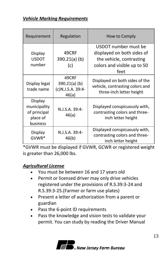## <span id="page-12-0"></span>*Vehicle Marking Requirements*

| Requirement                                                     | Regulation                                          | How to Comply                                                                                                         |  |
|-----------------------------------------------------------------|-----------------------------------------------------|-----------------------------------------------------------------------------------------------------------------------|--|
| Display<br><b>USDOT</b><br>number                               | 49CRF<br>$390.21(a)$ (b)<br>(c)                     | USDOT number must be<br>displayed on both sides of<br>the vehicle, contrasting<br>colors and visible up to 50<br>feet |  |
| Display legal<br>trade name                                     | 49CRF<br>390.21(a)(b)<br>(c)N.J.S.A. 39:4-<br>46(a) | Displayed on both sides of the<br>vehicle, contrasting colors and<br>three-inch letter height                         |  |
| Display<br>municipality<br>of principal<br>place of<br>business | N.J.S.A. 39:4-<br>46(a)                             | Displayed conspicuously with,<br>contrasting colors and three-<br>inch letter height                                  |  |
| Display<br>GVWR*                                                | N.J.S.A. 39:4-<br>46(b)                             | Displayed conspicuously with,<br>contrasting colors and three-<br>inch letter height                                  |  |

\*GVWR must be displayed if GVWR, GCWR or registered weight is greater than 26,000 lbs.

#### *Agricultural License*

- You must be between 16 and 17 years old
- Permit or licensed driver may only drive vehicles registered under the provisions of R.S.39:3-24 and R.S.39:3-25.(Farmer or farm use plates)
- Present a letter of authorization from a parent or guardian
- Pass the 6-point ID requirements
- Pass the knowledge and vision tests to validate your permit. You can study by reading the Driver Manual

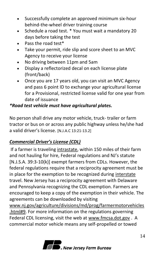- Successfully complete an approved minimum six-hour behind-the-wheel driver training course
- Schedule a road test. \* You must wait a mandatory 20 days before taking the test
- Pass the road test\*
- Take your permit, ride slip and score sheet to an MVC Agency to receive your license
- No driving between 11pm and 5am
- Display a reflectorized decal on each license plate (front/back)
- Once you are 17 years old, you can visit an MVC Agency and pass 6 point ID to exchange your agricultural license for a Provisional, restricted license valid for one year from date of issuance

# *\*Road test vehicle must have agricultural plates.*

No person shall drive any motor vehicle, truck- trailer or farm tractor or bus on or across any public highway unless he/she had a valid driver's license. [N.J.A.C 13:21-13.2]

# <span id="page-13-0"></span>*Commercial Driver's License (CDL)*

If a farmer is traveling intrastate, within 150 miles of their farm and not hauling for hire, Federal regulations and NJ's statute [N.J.S.A. 39:3-10(k)] exempt farmers from CDLs. However, the federal regulations require that a reciprocity agreement must be in place for the exemption to be recognized during interstate travel. New Jersey has a reciprocity agreement with Delaware and Pennsylvania recognizing the CDL exemption. Farmers are encouraged to keep a copy of the exemption in their vehicle. The agreements can be downloaded by visiting

www.nj.gov/agriculture/divisions/md/prog/farmermotorvehicles .html#9. For more information on the regulations governing Federal CDL licensing, visit the web at www.fmcsa.dot.gov . A commercial motor vehicle means any self-propelled or towed

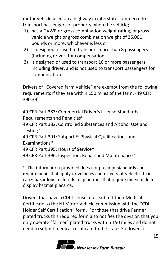motor vehicle used on a highway in interstate commerce to transport passengers or property when the vehicle;

- 1) has a GVWR or gross combination weight rating, or gross vehicle weight or gross combination weight of 26,001 pounds or more; whichever is less or
- 2) is designed or used to transport more than 8 passengers (including driver) for compensation;
- 3) is designed or used to transport 16 or more passengers, including driver, and is not used to transport passengers for compensation

Drivers of "Covered farm Vehicle" are exempt from the following requirements if they are within 150 miles of the farm. (49 CFR 390.39)

49 CFR Part 383: Commercial Driver's License Standards; Requirements and Penalties\*

49 CFR Part 382: Controlled Substances and Alcohol Use and Testing\*

49 CFR Part 391: Subpart E: Physical Qualifications and Examinations\*

49 CFR Part 395: Hours of Service\*

49 CFR Part 396: Inspection, Repair and Maintenance\*

\* The information provided does not preempt standards and requirements that apply to vehicles and drivers of vehicles that carry hazardous materials in quantities that require the vehicle to display hazmat placards.

Drivers that have a CDL license must submit their Medical Certificate to the NJ Motor Vehicle commission with the "CDL Holder Self Certification" form. For those that drive Farmer plated trucks this required form also notifies the division that you only operate "farmer" plated trucks within 150 miles and do not need to submit medical certificate to the state. So drivers of

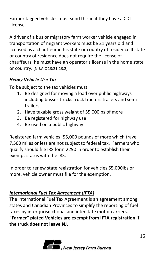Farmer tagged vehicles must send this in if they have a CDL License.

A driver of a bus or migratory farm worker vehicle engaged in transportation of migrant workers must be 21 years old and licensed as a chauffeur in his state or country of residence If state or country of residence does not require the license of chauffeurs, he must have an operator's license in the home state or country. [N.J.A.C 13:21-13.2]

# <span id="page-15-0"></span>*Heavy Vehicle Use Tax*

To be subject to the tax vehicles must:

- 1. Be designed for moving a load over public highways including busses trucks truck tractors trailers and semi trailers.
- 2. Have taxable gross weight of 55,000lbs of more
- 3. Be registered for highway use
- 4. Be used on a public highway

Registered farm vehicles (55,000 pounds of more which travel 7,500 miles or less are not subject to federal tax. Farmers who qualify should file IRS form 2290 in order to establish their exempt status with the IRS.

In order to renew state registration for vehicles 55,000lbs or more, vehicle owner must file for the exemption.

# <span id="page-15-1"></span>*International Fuel Tax Agreement (IFTA)*

The International Fuel Tax Agreement is an agreement among states and Canadian Provinces to simplify the reporting of fuel taxes by inter-jurisdictional and interstate motor carriers. **"Farmer" plated Vehicles are exempt from IFTA registration if the truck does not leave NJ.** 

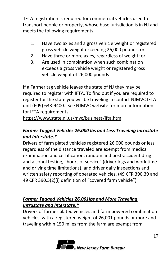IFTA registration is required for commercial vehicles used to transport people or property, whose base jurisdiction is in NJ and meets the following requirements,

- 1. Have two axles and a gross vehicle weight or registered gross vehicle weight exceeding 26,000 pounds; or
- 2. Have three or more axles, regardless of weight; or
- 3. Are used in combination when such combination exceeds a gross vehicle weight or registered gross vehicle weight of 26,000 pounds

If a Farmer tag vehicle leaves the state of NJ they may be required to register with IFTA. To find out if you are required to register for the state you will be traveling in contact NJMVC IFTA unit (609) 633-9400. See NJMVC website for more information for IFTA requirements.

https://www.state.nj.us/mvc/business/ifta.htm

# <span id="page-16-0"></span>*Farmer Tagged Vehicles 26,000 lbs and Less Traveling Intrastate and Interstate.\**

Drivers of farm plated vehicles registered 26,000 pounds or less regardless of the distance traveled are exempt from medical examination and certification, random and post-accident drug and alcohol testing, "hours of service" (driver logs and work time and driving time limitations), and driver daily inspections and written safety reporting of operated vehicles. (49 CFR 390.39 and 49 CFR 390.5(2)(i) definition of "covered farm vehicle")

## <span id="page-16-1"></span>*Farmer Tagged Vehicles 26,001lbs and More Traveling Intrastate and Interstate.\**

Drivers of farmer plated vehicles and farm powered combination vehicles with a registered weight of 26,001 pounds or more and traveling within 150 miles from the farm are exempt from

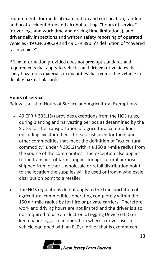requirements for medical examination and certification, random and post-accident drug and alcohol testing, "hours of service" (driver logs and work time and driving time limitations), and driver daily inspections and written safety reporting of operated vehicles (49 CFR 390.39 and 49 CFR 390.5's definition of "covered farm vehicle").

\* The information provided does not preempt standards and requirements that apply to vehicles and drivers of vehicles that carry hazardous materials in quantities that require the vehicle to display hazmat placards.

## **Hours of service**

Below is a list of Hours of Service and Agricultural Exemptions.

- 49 CFR § 395.1(k) provides exceptions from the HOS rules, during planting and harvesting periods as determined by the State, for the transportation of agricultural commodities (including livestock, bees, horses, fish used for food, and other commodities that meet the definition of "agricultural commodity" under § 395.2) within a 150 air-mile radius from the source of the commodities. The exception also applies to the transport of farm supplies for agricultural purposes shipped from either a wholesale or retail distribution point to the location the supplies will be used or from a wholesale distribution point to a retailer.
- The HOS regulations do not apply to the transportation of agricultural commodities operating completely within the 150 air-mile radius by for hire or private carriers. Therefore, work and driving hours are not limited and the driver is also not required to use an Electronic Logging Device (ELD) or keep paper logs. In an operation where a driver uses a vehicle equipped with an ELD, a driver that is exempt can

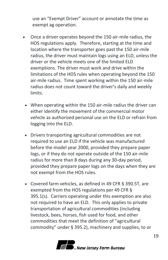use an "Exempt Driver" account or annotate the time as exempt ag operation.

- Once a driver operates beyond the 150 air-mile radius, the HOS regulations apply. Therefore, starting at the time and location where the transporter goes past the 150 air-mile radius, the driver must maintain logs using an ELD, unless the driver or the vehicle meets one of the limited ELD exemptions. The driver must work and drive within the limitations of the HOS rules when operating beyond the 150 air-mile radius. Time spent working within the 150 air-mile radius does not count toward the driver's daily and weekly limits.
- When operating within the 150 air-mile radius the driver can either identify the movement of the commercial motor vehicle as authorized personal use on the ELD or refrain from logging into the ELD.
- Drivers transporting agricultural commodities are not required to use an ELD if the vehicle was manufactured before the model year 2000, provided they prepare paper logs, or if they do not operate outside of the 150 air-mile radius for more than 8 days during any 30-day period, provided they prepare paper logs on the days when they are not exempt from the HOS rules.
- Covered farm vehicles, as defined in 49 CFR § 390.5T, are exempted from the HOS regulations per 49 CFR § 395.1(s). Carriers operating under this exemption are also not required to have an ELD. This only applies to private transportation of agricultural commodities (including livestock, bees, horses, fish used for food, and other commodities that meet the definition of "agricultural commodity" under § 395.2), machinery and supplies, to or

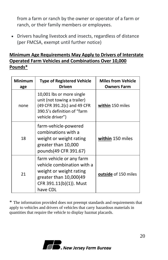from a farm or ranch by the owner or operator of a farm or ranch, or their family members or employees.

• Drivers hauling livestock and insects, regardless of distance (per FMCSA, exempt until further notice)

#### <span id="page-19-0"></span>**Minimum Age Requirements May Apply to Drivers of Interstate Operated Farm Vehicles and Combinations Over 10,000 Pounds\***

| <b>Minimum</b><br>age | <b>Type of Registered Vehicle</b><br>Driven                                                                                                        | <b>Miles from Vehicle</b><br><b>Owners Farm</b> |
|-----------------------|----------------------------------------------------------------------------------------------------------------------------------------------------|-------------------------------------------------|
| none                  | 10,001 lbs or more single<br>unit (not towing a trailer)<br>(49 CFR 391.2(c) and 49 CFR<br>390.5's definition of "farm<br>vehicle driver")         | within 150 miles                                |
| 18                    | farm-vehicle-powered<br>combinations with a<br>weight or weight rating<br>greater than 10,000<br>pounds(49 CFR 391.67)                             | within 150 miles                                |
| 21                    | farm vehicle or any farm<br>vehicle combination with a<br>weight or weight rating<br>greater than 10,000(49<br>CFR 391.11(b)(1)). Must<br>have CDL | outside of 150 miles                            |

\* The information provided does not preempt standards and requirements that apply to vehicles and drivers of vehicles that carry hazardous materials in quantities that require the vehicle to display hazmat placards.

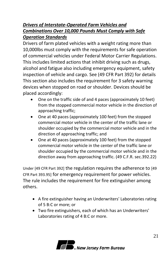#### *Drivers of Interstate-Operated Farm Vehicles and Combinations Over 10,000 Pounds Must Comply with Safe Operation Standards*

Drivers of farm plated vehicles with a weight rating more than 10,000lbs must comply with the requirements for safe operation of commercial vehicles under Federal Motor Carrier Regulations. This includes limited actions that inhibit driving such as drugs, alcohol and fatigue also including emergency equipment, safety inspection of vehicle and cargo. See (49 CFR Part 392) for details This section also includes the requirement for 3 safety warning devices when stopped on road or shoulder. Devices should be placed accordingly:

- One on the traffic side of and 4 paces (approximately 10 feet) from the stopped commercial motor vehicle in the direction of approaching traffic;
- One at 40 paces (approximately 100 feet) from the stopped commercial motor vehicle in the center of the traffic lane or shoulder occupied by the commercial motor vehicle and in the direction of approaching traffic; and
- One at 40 paces (approximately 100 feet) from the stopped commercial motor vehicle in the center of the traffic lane or shoulder occupied by the commercial motor vehicle and in the direction away from approaching traffic. (49 C.F.R. sec.392.22)

Under [49 CFR Part 392] the regulation requires the adherence to [49 CFR Part 393.95] for emergency requirement for power vehicles. The rule includes the requirement for fire extinguisher among others.

- A fire extinguisher having an Underwriters' Laboratories rating of 5 B:C or more; or
- Two fire extinguishers, each of which has an Underwriters' Laboratories rating of 4 B:C or more.

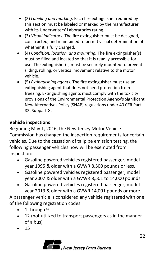- (2) *Labeling and marking.* Each fire extinguisher required by this section must be labeled or marked by the manufacturer with its Underwriters' Laboratories rating.
- (3) *Visual Indicators.* The fire extinguisher must be designed, constructed, and maintained to permit visual determination of whether it is fully charged.
- (4) *Condition, location, and mounting.* The fire extinguisher(s) must be filled and located so that it is readily accessible for use. The extinguisher(s) must be securely mounted to prevent sliding, rolling, or vertical movement relative to the motor vehicle.
- (5) *Extinguishing agents.* The fire extinguisher must use an extinguishing agent that does not need protection from freezing. Extinguishing agents must comply with the toxicity provisions of the Environmental Protection Agency's Significant New Alternatives Policy (SNAP) regulations under 40 CFR Part 82, Subpart G.

# <span id="page-21-0"></span>**Vehicle inspections**

Beginning May 1, 2016, the New Jersey Motor Vehicle Commission has changed the inspection requirements for certain vehicles. Due to the cessation of tailpipe emission testing, the following passenger vehicles now will be exempted from inspection:

- Gasoline powered vehicles registered passenger, model year 1995 & older with a GVWR 8,500 pounds or less.
- Gasoline powered vehicles registered passenger, model year 2007 & older with a GVWR 8,501 to 14,000 pounds.
- Gasoline powered vehicles registered passenger, model year 2013 & older with a GVWR 14,001 pounds or more.

A passenger vehicle is considered any vehicle registered with one of the following registration codes:

- 1 through 9
- 12 (not utilized to transport passengers as in the manner of a bus)
- 15

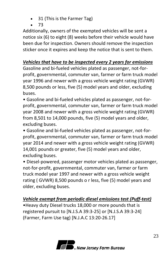- 31 (This is the Farmer Tag)
- 73

Additionally, owners of the exempted vehicles will be sent a notice six (6) to eight (8) weeks before their vehicle would have been due for inspection. Owners should remove the inspection sticker once it expires and keep the notice that is sent to them.

# <span id="page-22-0"></span>*Vehicles that have to be inspected every 2 years for emissions*

Gasoline and bi-fueled vehicles plated as passenger, not-forprofit, governmental, commuter van, farmer or farm truck model year 1996 and newer with a gross vehicle weight rating (GVWR) 8,500 pounds or less, five (5) model years and older, excluding buses.

• Gasoline and bi-fueled vehicles plated as passenger, not-forprofit, governmental, commuter van, farmer or farm truck model year 2008 and newer with a gross vehicle weight rating (GVWR) from 8,501 to 14,000 pounds, five (5) model years and older, excluding buses.

• Gasoline and bi-fueled vehicles plated as passenger, not-forprofit, governmental, commuter van, farmer or farm truck model year 2014 and newer with a gross vehicle weight rating (GVWR) 14,001 pounds or greater, five (5) model years and older, excluding buses.

• Diesel-powered, passenger motor vehicles plated as passenger, not-for-profit, governmental, commuter van, farmer or farm truck model year 1997 and newer with a gross vehicle weight rating ( GVWR) 8,500 pounds o r less, five (5) model years and older, excluding buses.

<span id="page-22-1"></span>*Vehicle exempt from periodic diesel emissions test (Puff-test)*

•Heavy duty Diesel trucks 18,000 or more pounds that is registered pursuit to [N.J.S.A 39:3-25] or [N.J.S.A 39:3-24] (Farmer, Farm Use tag) [N.J.A.C 13:20-26.17]

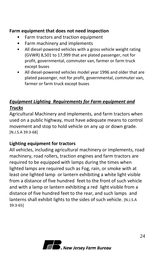### <span id="page-23-0"></span>**Farm equipment that does not need inspection**

- Farm tractors and traction equipment
- Farm machinery and implements
- All diesel-powered vehicles with a gross vehicle weight rating (GVWR) 8,501 to 17,999 that are plated passenger, not for profit, governmental, commuter van, farmer or farm truck except buses
- All diesel-powered vehicles model year 1996 and older that are plated passenger, not for profit, governmental, commuter van, farmer or farm truck except buses

# <span id="page-23-1"></span>*Equipment Lighting Requirements for Farm equipment and Trucks*

Agricultural Machinery and implements, and farm tractors when used on a public highway, must have adequate means to control movement and stop to hold vehicle on any up or down grade. [N.J.S.A 39:3-68]

## **Lighting equipment for tractors**

All vehicles, including agricultural machinery or implements, road machinery, road rollers, traction engines and farm tractors are required to be equipped with lamps during the times when lighted lamps are required such as Fog, rain, or smoke with at least one lighted lamp or lantern exhibiting a white light visible from a distance of five hundred feet to the front of such vehicle and with a lamp or lantern exhibiting a red light visible from a distance of five hundred feet to the rear, and such lamps and lanterns shall exhibit lights to the sides of such vehicle. [N.J.S.A 39:3-65]

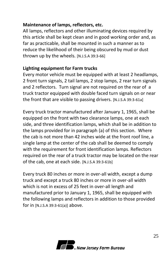#### **Maintenance of lamps, reflectors, etc.**

All lamps, reflectors and other illuminating devices required by this article shall be kept clean and in good working order and, as far as practicable, shall be mounted in such a manner as to reduce the likelihood of their being obscured by mud or dust thrown up by the wheels. [N.J.S.A 39:3-66]

## **Lighting equipment for Farm trucks**

Every motor vehicle must be equipped with at least 2 headlamps, 2 front turn signals, 2 tail lamps, 2 stop lamps, 2 rear turn signals and 2 reflectors. Turn signal are not required on the rear of a truck tractor equipped with double faced turn signals on or near the front that are visible to passing drivers. [N.J.S.A 39:3-61a]

Every truck tractor manufactured after January 1, 1965, shall be equipped on the front with two clearance lamps, one at each side, and three identification lamps, which shall be in addition to the lamps provided for in paragraph (a) of this section. Where the cab is not more than 42 inches wide at the front roof line, a single lamp at the center of the cab shall be deemed to comply with the requirement for front identification lamps. Reflectors required on the rear of a truck tractor may be located on the rear of the cab, one at each side. [N.J.S.A 39:3-61b]

Every truck 80 inches or more in over-all width, except a dump truck and except a truck 80 inches or more in over-all width which is not in excess of 25 feet in over-all length and manufactured prior to January 1, 1965, shall be equipped with the following lamps and reflectors in addition to those provided for in [N.J.S.A 39:3-61(a)] above.

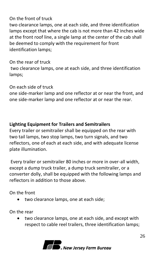### On the front of truck

two clearance lamps, one at each side, and three identification lamps except that where the cab is not more than 42 inches wide at the front roof line, a single lamp at the center of the cab shall be deemed to comply with the requirement for front identification lamps;

On the rear of truck two clearance lamps, one at each side, and three identification lamps;

On each side of truck

one side-marker lamp and one reflector at or near the front, and one side-marker lamp and one reflector at or near the rear.

#### **Lighting Equipment for Trailers and Semitrailers**

Every trailer or semitrailer shall be equipped on the rear with two tail lamps, two stop lamps, two turn signals, and two reflectors, one of each at each side, and with adequate license plate illumination.

Every trailer or semitrailer 80 inches or more in over-all width, except a dump truck trailer, a dump truck semitrailer, or a converter dolly, shall be equipped with the following lamps and reflectors in addition to those above.

On the front

• two clearance lamps, one at each side;

On the rear

two clearance lamps, one at each side, and except with respect to cable reel trailers, three identification lamps;

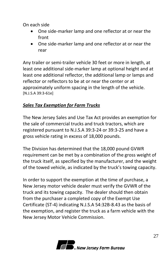On each side

- One side-marker lamp and one reflector at or near the front
- One side-marker lamp and one reflector at or near the rear

Any trailer or semi-trailer vehicle 30 feet or more in length, at least one additional side-marker lamp at optional height and at least one additional reflector, the additional lamp or lamps and reflector or reflectors to be at or near the center or at approximately uniform spacing in the length of the vehicle. [N.J.S.A 39:3-61e]

# <span id="page-26-0"></span>*Sales Tax Exemption for Farm Trucks*

The New Jersey Sales and Use Tax Act provides an exemption for the sale of commercial trucks and truck tractors, which are registered pursuant to N.J.S.A 39:3-24 or 39:3-25 and have a gross vehicle rating in excess of 18,000 pounds.

The Division has determined that the 18,000 pound GVWR requirement can be met by a combination of the gross weight of the truck itself, as specified by the manufacturer, and the weight of the towed vehicle, as indicated by the truck's towing capacity.

In order to support the exemption at the time of purchase, a New Jersey motor vehicle dealer must verify the GVWR of the truck and its towing capacity. The dealer should then obtain from the purchaser a completed copy of the Exempt Use Certificate (ST-4) indicating N.J.S.A 54:32B-8.43 as the basis of the exemption, and register the truck as a farm vehicle with the New Jersey Motor Vehicle Commission.